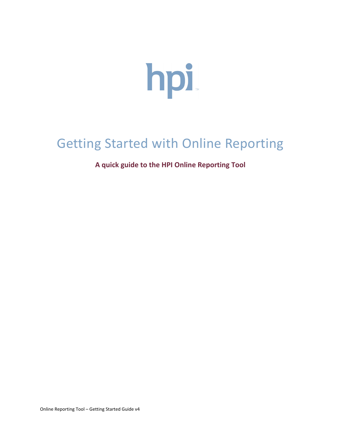

# Getting Started with Online Reporting

# **A quick guide to the HPI Online Reporting Tool**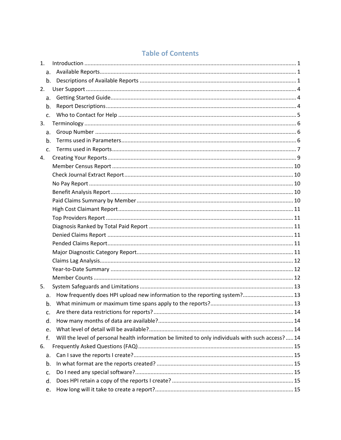# **Table of Contents**

| $\mathbf{1}$ . |                                                                                                    |  |
|----------------|----------------------------------------------------------------------------------------------------|--|
|                |                                                                                                    |  |
|                | b.                                                                                                 |  |
| 2.             |                                                                                                    |  |
| a.             |                                                                                                    |  |
| b.             |                                                                                                    |  |
| C.             |                                                                                                    |  |
| 3.             |                                                                                                    |  |
| a.             |                                                                                                    |  |
| b <sub>1</sub> |                                                                                                    |  |
| C <sub>1</sub> |                                                                                                    |  |
| 4.             |                                                                                                    |  |
|                |                                                                                                    |  |
|                |                                                                                                    |  |
|                |                                                                                                    |  |
|                |                                                                                                    |  |
|                |                                                                                                    |  |
|                |                                                                                                    |  |
|                |                                                                                                    |  |
|                |                                                                                                    |  |
|                |                                                                                                    |  |
|                |                                                                                                    |  |
|                |                                                                                                    |  |
|                |                                                                                                    |  |
|                |                                                                                                    |  |
|                |                                                                                                    |  |
| 5.             |                                                                                                    |  |
| a.             | How frequently does HPI upload new information to the reporting system? 13                         |  |
| b.             |                                                                                                    |  |
| c.             |                                                                                                    |  |
| d.             |                                                                                                    |  |
| e.             |                                                                                                    |  |
| f.             | Will the level of personal health information be limited to only individuals with such access?  14 |  |
| 6.             |                                                                                                    |  |
| a.             |                                                                                                    |  |
| b.             |                                                                                                    |  |
| c.             |                                                                                                    |  |
| d.             |                                                                                                    |  |
| e.             |                                                                                                    |  |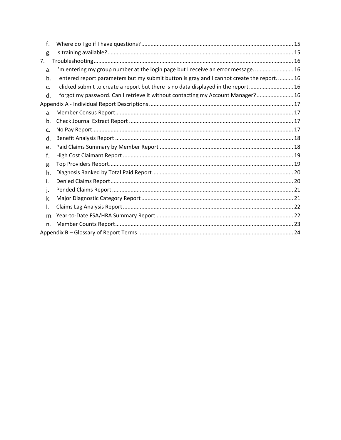| f.             |                                                                                            |  |
|----------------|--------------------------------------------------------------------------------------------|--|
| g.             |                                                                                            |  |
| 7.             |                                                                                            |  |
| a <sub>r</sub> | I'm entering my group number at the login page but I receive an error message 16           |  |
| b.             | I entered report parameters but my submit button is gray and I cannot create the report 16 |  |
| C <sub>1</sub> | I clicked submit to create a report but there is no data displayed in the report 16        |  |
| d.             | I forgot my password. Can I retrieve it without contacting my Account Manager? 16          |  |
|                |                                                                                            |  |
| a <sub>r</sub> |                                                                                            |  |
| b.             |                                                                                            |  |
| C.             |                                                                                            |  |
| d.             |                                                                                            |  |
| e.             |                                                                                            |  |
| f.             |                                                                                            |  |
| g.             |                                                                                            |  |
| h.             |                                                                                            |  |
| i.             |                                                                                            |  |
| j.             |                                                                                            |  |
| k.             |                                                                                            |  |
| I.             |                                                                                            |  |
| m.             |                                                                                            |  |
| n.             |                                                                                            |  |
|                |                                                                                            |  |
|                |                                                                                            |  |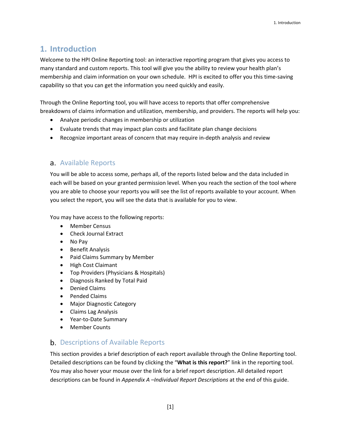# <span id="page-3-0"></span>**1. Introduction**

Welcome to the HPI Online Reporting tool: an interactive reporting program that gives you access to many standard and custom reports. This tool will give you the ability to review your health plan's membership and claim information on your own schedule. HPI is excited to offer you this time-saving capability so that you can get the information you need quickly and easily.

Through the Online Reporting tool, you will have access to reports that offer comprehensive breakdowns of claims information and utilization, membership, and providers. The reports will help you:

- Analyze periodic changes in membership or utilization
- Evaluate trends that may impact plan costs and facilitate plan change decisions
- Recognize important areas of concern that may require in-depth analysis and review

# <span id="page-3-1"></span>a. Available Reports

You will be able to access some, perhaps all, of the reports listed below and the data included in each will be based on your granted permission level. When you reach the section of the tool where you are able to choose your reports you will see the list of reports available to your account. When you select the report, you will see the data that is available for you to view.

You may have access to the following reports:

- Member Census
- Check Journal Extract
- No Pay
- Benefit Analysis
- Paid Claims Summary by Member
- High Cost Claimant
- Top Providers (Physicians & Hospitals)
- Diagnosis Ranked by Total Paid
- Denied Claims
- Pended Claims
- Major Diagnostic Category
- Claims Lag Analysis
- Year-to-Date Summary
- Member Counts

# <span id="page-3-2"></span>**b.** Descriptions of Available Reports

This section provides a brief description of each report available through the Online Reporting tool. Detailed descriptions can be found by clicking the "**What is this report?**" link in the reporting tool. You may also hover your mouse over the link for a brief report description. All detailed report descriptions can be found in *Appendix A –Individual Report Descriptions* at the end of this guide.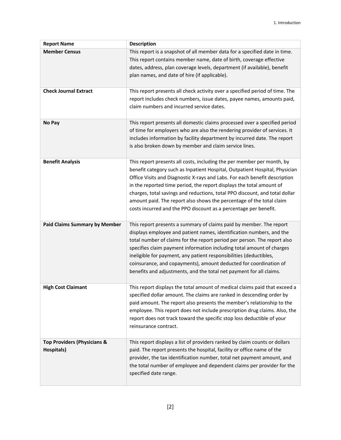| <b>Report Name</b>                                   | <b>Description</b>                                                                                                                                                                                                                                                                                                                                                                                                                                                                                                                     |
|------------------------------------------------------|----------------------------------------------------------------------------------------------------------------------------------------------------------------------------------------------------------------------------------------------------------------------------------------------------------------------------------------------------------------------------------------------------------------------------------------------------------------------------------------------------------------------------------------|
| <b>Member Census</b>                                 | This report is a snapshot of all member data for a specified date in time.<br>This report contains member name, date of birth, coverage effective<br>dates, address, plan coverage levels, department (if available), benefit<br>plan names, and date of hire (if applicable).                                                                                                                                                                                                                                                         |
| <b>Check Journal Extract</b>                         | This report presents all check activity over a specified period of time. The<br>report includes check numbers, issue dates, payee names, amounts paid,<br>claim numbers and incurred service dates.                                                                                                                                                                                                                                                                                                                                    |
| No Pay                                               | This report presents all domestic claims processed over a specified period<br>of time for employers who are also the rendering provider of services. It<br>includes information by facility department by incurred date. The report<br>is also broken down by member and claim service lines.                                                                                                                                                                                                                                          |
| <b>Benefit Analysis</b>                              | This report presents all costs, including the per member per month, by<br>benefit category such as Inpatient Hospital, Outpatient Hospital, Physician<br>Office Visits and Diagnostic X-rays and Labs. For each benefit description<br>in the reported time period, the report displays the total amount of<br>charges, total savings and reductions, total PPO discount, and total dollar<br>amount paid. The report also shows the percentage of the total claim<br>costs incurred and the PPO discount as a percentage per benefit. |
| <b>Paid Claims Summary by Member</b>                 | This report presents a summary of claims paid by member. The report<br>displays employee and patient names, identification numbers, and the<br>total number of claims for the report period per person. The report also<br>specifies claim payment information including total amount of charges<br>ineligible for payment, any patient responsibilities (deductibles,<br>coinsurance, and copayments), amount deducted for coordination of<br>benefits and adjustments, and the total net payment for all claims.                     |
| <b>High Cost Claimant</b>                            | This report displays the total amount of medical claims paid that exceed a<br>specified dollar amount. The claims are ranked in descending order by<br>paid amount. The report also presents the member's relationship to the<br>employee. This report does not include prescription drug claims. Also, the<br>report does not track toward the specific stop loss deductible of your<br>reinsurance contract.                                                                                                                         |
| <b>Top Providers (Physicians &amp;</b><br>Hospitals) | This report displays a list of providers ranked by claim counts or dollars<br>paid. The report presents the hospital, facility or office name of the<br>provider, the tax identification number, total net payment amount, and<br>the total number of employee and dependent claims per provider for the<br>specified date range.                                                                                                                                                                                                      |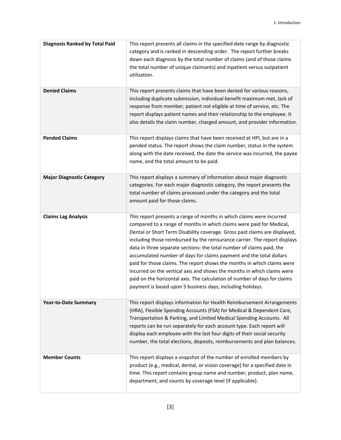| <b>Diagnosis Ranked by Total Paid</b> | This report presents all claims in the specified date range by diagnostic<br>category and is ranked in descending order. The report further breaks<br>down each diagnosis by the total number of claims (and of those claims<br>the total number of unique claimants) and inpatient versus outpatient<br>utilization.                                                                                                                                                                                                                                                                                                                                                                                                                                     |
|---------------------------------------|-----------------------------------------------------------------------------------------------------------------------------------------------------------------------------------------------------------------------------------------------------------------------------------------------------------------------------------------------------------------------------------------------------------------------------------------------------------------------------------------------------------------------------------------------------------------------------------------------------------------------------------------------------------------------------------------------------------------------------------------------------------|
| <b>Denied Claims</b>                  | This report presents claims that have been denied for various reasons,<br>including duplicate submission, individual benefit maximum met, lack of<br>response from member, patient not eligible at time of service, etc. The<br>report displays patient names and their relationship to the employee. It<br>also details the claim number, charged amount, and provider information.                                                                                                                                                                                                                                                                                                                                                                      |
| <b>Pended Claims</b>                  | This report displays claims that have been received at HPI, but are in a<br>pended status. The report shows the claim number, status in the system<br>along with the date received, the date the service was incurred, the payee<br>name, and the total amount to be paid.                                                                                                                                                                                                                                                                                                                                                                                                                                                                                |
| <b>Major Diagnostic Category</b>      | This report displays a summary of information about major diagnostic<br>categories. For each major diagnostic category, the report presents the<br>total number of claims processed under the category and the total<br>amount paid for those claims.                                                                                                                                                                                                                                                                                                                                                                                                                                                                                                     |
| <b>Claims Lag Analysis</b>            | This report presents a range of months in which claims were incurred<br>compared to a range of months in which claims were paid for Medical,<br>Dental or Short Term Disability coverage. Gross paid claims are displayed,<br>including those reimbursed by the reinsurance carrier. The report displays<br>data in three separate sections: the total number of claims paid, the<br>accumulated number of days for claims payment and the total dollars<br>paid for those claims. The report shows the months in which claims were<br>incurred on the vertical axis and shows the months in which claims were<br>paid on the horizontal axis. The calculation of number of days for claims<br>payment is based upon 5 business days, including holidays. |
| <b>Year-to-Date Summary</b>           | This report displays information for Health Reimbursement Arrangements<br>(HRA), Flexible Spending Accounts (FSA) for Medical & Dependent Care,<br>Transportation & Parking, and Limited Medical Spending Accounts. All<br>reports can be run separately for each account type. Each report will<br>display each employee with the last four digits of their social security<br>number, the total elections, deposits, reimbursements and plan balances.                                                                                                                                                                                                                                                                                                  |
| <b>Member Counts</b>                  | This report displays a snapshot of the number of enrolled members by<br>product (e.g., medical, dental, or vision coverage) for a specified date in<br>time. This report contains group name and number, product, plan name,<br>department, and counts by coverage level (if applicable).                                                                                                                                                                                                                                                                                                                                                                                                                                                                 |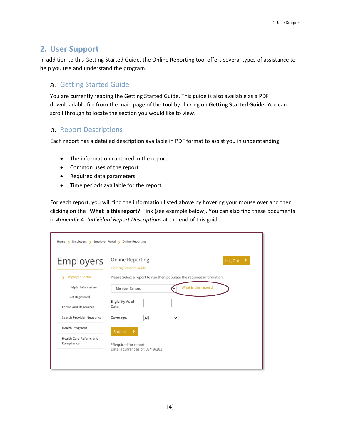# <span id="page-6-0"></span>**2. User Support**

In addition to this Getting Started Guide, the Online Reporting tool offers several types of assistance to help you use and understand the program.

# <span id="page-6-1"></span>a. Getting Started Guide

You are currently reading the Getting Started Guide. This guide is also available as a PDF downloadable file from the main page of the tool by clicking on **Getting Started Guide**. You can scroll through to locate the section you would like to view.

# <span id="page-6-2"></span>**b.** Report Descriptions

Each report has a detailed description available in PDF format to assist you in understanding:

- The information captured in the report
- Common uses of the report
- Required data parameters
- Time periods available for the report

For each report, you will find the information listed above by hovering your mouse over and then clicking on the "**What is this report?**" link (see example below). You can also find these documents in *Appendix A- Individual Report Descriptions* at the end of this guide.

| <b>Employers</b>            | Online Reporting<br>٠<br>Log Out<br><b>Getting Started Guide</b>      |
|-----------------------------|-----------------------------------------------------------------------|
| <b>Employer Portal</b><br>x | Please Select a report to run then populate the required information. |
| Helpful Information         | What is this report?<br>Member Census                                 |
| Get Registered              |                                                                       |
| Forms and Resources         | Eligibility As of<br>Date:                                            |
| Search Provider Networks    | Coverage:<br>All<br>◡                                                 |
| <b>Health Programs</b>      | Submit                                                                |
| Health Care Reform and      |                                                                       |
| Compliance                  | *Required for report.<br>Data is current as of: 03/19/2021            |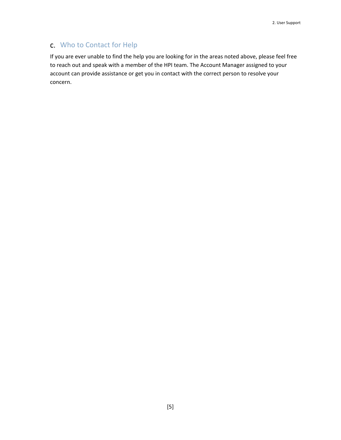# <span id="page-7-0"></span>Who to Contact for Help

If you are ever unable to find the help you are looking for in the areas noted above, please feel free to reach out and speak with a member of the HPI team. The Account Manager assigned to your account can provide assistance or get you in contact with the correct person to resolve your concern.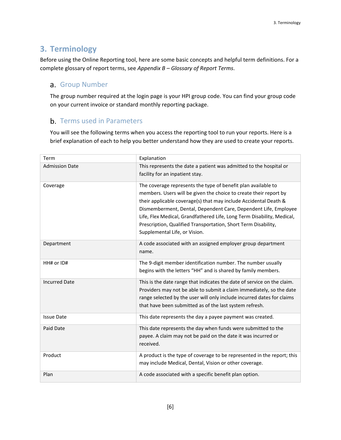# <span id="page-8-0"></span>**3. Terminology**

Before using the Online Reporting tool, here are some basic concepts and helpful term definitions. For a complete glossary of report terms, see *Appendix B – Glossary of Report Terms*.

# <span id="page-8-1"></span>a. Group Number

The group number required at the login page is your HPI group code. You can find your group code on your current invoice or standard monthly reporting package.

# <span id="page-8-2"></span>**b.** Terms used in Parameters

You will see the following terms when you access the reporting tool to run your reports. Here is a brief explanation of each to help you better understand how they are used to create your reports.

| Term                  | Explanation                                                                                                                                                                                                                                                                                                                                                                                                                                            |
|-----------------------|--------------------------------------------------------------------------------------------------------------------------------------------------------------------------------------------------------------------------------------------------------------------------------------------------------------------------------------------------------------------------------------------------------------------------------------------------------|
| <b>Admission Date</b> | This represents the date a patient was admitted to the hospital or<br>facility for an inpatient stay.                                                                                                                                                                                                                                                                                                                                                  |
| Coverage              | The coverage represents the type of benefit plan available to<br>members. Users will be given the choice to create their report by<br>their applicable coverage(s) that may include Accidental Death &<br>Dismemberment, Dental, Dependent Care, Dependent Life, Employee<br>Life, Flex Medical, Grandfathered Life, Long Term Disability, Medical,<br>Prescription, Qualified Transportation, Short Term Disability,<br>Supplemental Life, or Vision. |
| Department            | A code associated with an assigned employer group department<br>name.                                                                                                                                                                                                                                                                                                                                                                                  |
| HH# or ID#            | The 9-digit member identification number. The number usually<br>begins with the letters "HH" and is shared by family members.                                                                                                                                                                                                                                                                                                                          |
| <b>Incurred Date</b>  | This is the date range that indicates the date of service on the claim.<br>Providers may not be able to submit a claim immediately, so the date<br>range selected by the user will only include incurred dates for claims<br>that have been submitted as of the last system refresh.                                                                                                                                                                   |
| <b>Issue Date</b>     | This date represents the day a payee payment was created.                                                                                                                                                                                                                                                                                                                                                                                              |
| Paid Date             | This date represents the day when funds were submitted to the<br>payee. A claim may not be paid on the date it was incurred or<br>received.                                                                                                                                                                                                                                                                                                            |
| Product               | A product is the type of coverage to be represented in the report; this<br>may include Medical, Dental, Vision or other coverage.                                                                                                                                                                                                                                                                                                                      |
| Plan                  | A code associated with a specific benefit plan option.                                                                                                                                                                                                                                                                                                                                                                                                 |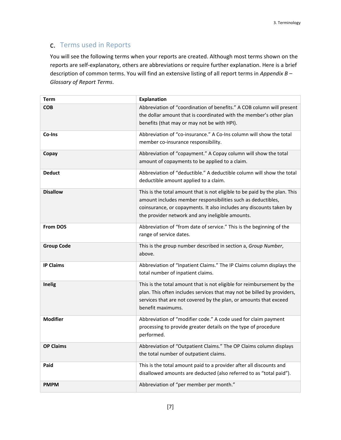# <span id="page-9-0"></span>c. Terms used in Reports

You will see the following terms when your reports are created. Although most terms shown on the reports are self-explanatory, others are abbreviations or require further explanation. Here is a brief description of common terms. You will find an extensive listing of all report terms in *Appendix B – Glossary of Report Terms*.

| <b>Term</b>       | <b>Explanation</b>                                                                                                                                                                                                                                                    |
|-------------------|-----------------------------------------------------------------------------------------------------------------------------------------------------------------------------------------------------------------------------------------------------------------------|
| <b>COB</b>        | Abbreviation of "coordination of benefits." A COB column will present<br>the dollar amount that is coordinated with the member's other plan<br>benefits (that may or may not be with HPI).                                                                            |
| Co-Ins            | Abbreviation of "co-insurance." A Co-Ins column will show the total<br>member co-insurance responsibility.                                                                                                                                                            |
| Copay             | Abbreviation of "copayment." A Copay column will show the total<br>amount of copayments to be applied to a claim.                                                                                                                                                     |
| <b>Deduct</b>     | Abbreviation of "deductible." A deductible column will show the total<br>deductible amount applied to a claim.                                                                                                                                                        |
| <b>Disallow</b>   | This is the total amount that is not eligible to be paid by the plan. This<br>amount includes member responsibilities such as deductibles,<br>coinsurance, or copayments. It also includes any discounts taken by<br>the provider network and any ineligible amounts. |
| From DOS          | Abbreviation of "from date of service." This is the beginning of the<br>range of service dates.                                                                                                                                                                       |
| <b>Group Code</b> | This is the group number described in section a, Group Number,<br>above.                                                                                                                                                                                              |
| <b>IP Claims</b>  | Abbreviation of "Inpatient Claims." The IP Claims column displays the<br>total number of inpatient claims.                                                                                                                                                            |
| Inelig            | This is the total amount that is not eligible for reimbursement by the<br>plan. This often includes services that may not be billed by providers,<br>services that are not covered by the plan, or amounts that exceed<br>benefit maximums.                           |
| <b>Modifier</b>   | Abbreviation of "modifier code." A code used for claim payment<br>processing to provide greater details on the type of procedure<br>performed.                                                                                                                        |
| <b>OP Claims</b>  | Abbreviation of "Outpatient Claims." The OP Claims column displays<br>the total number of outpatient claims.                                                                                                                                                          |
| Paid              | This is the total amount paid to a provider after all discounts and<br>disallowed amounts are deducted (also referred to as "total paid").                                                                                                                            |
| <b>PMPM</b>       | Abbreviation of "per member per month."                                                                                                                                                                                                                               |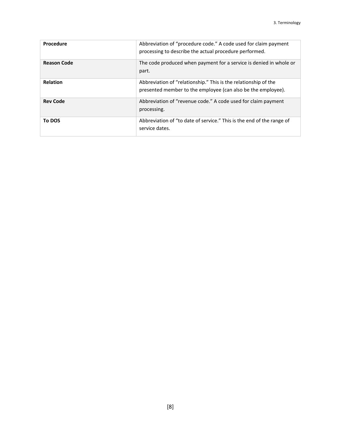| Procedure          | Abbreviation of "procedure code." A code used for claim payment<br>processing to describe the actual procedure performed.       |
|--------------------|---------------------------------------------------------------------------------------------------------------------------------|
| <b>Reason Code</b> | The code produced when payment for a service is denied in whole or<br>part.                                                     |
| Relation           | Abbreviation of "relationship." This is the relationship of the<br>presented member to the employee (can also be the employee). |
| <b>Rev Code</b>    | Abbreviation of "revenue code." A code used for claim payment<br>processing.                                                    |
| To DOS             | Abbreviation of "to date of service." This is the end of the range of<br>service dates.                                         |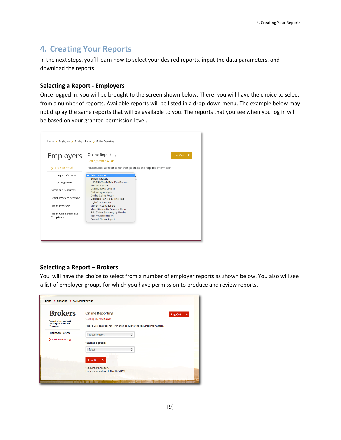# <span id="page-11-0"></span>**4. Creating Your Reports**

In the next steps, you'll learn how to select your desired reports, input the data parameters, and download the reports.

### **Selecting a Report - Employers**

Once logged in, you will be brought to the screen shown below. There, you will have the choice to select from a number of reports. Available reports will be listed in a drop-down menu. The example below may not display the same reports that will be available to you. The reports that you see when you log in will be based on your granted permission level.

| Employers                            | Online Reporting<br>Log Out $\rightarrow$<br><b>Getting Started Guide</b>                   |
|--------------------------------------|---------------------------------------------------------------------------------------------|
| S Employer Portal                    | Please Select a report to run then populate the required information.                       |
| Helpful Information                  | √ Select a Report                                                                           |
| <b>Get Registered</b>                | <b>Benefit Analysis</b><br>HRA/FSA YearToDate Plan Summary                                  |
| Forms and Resources                  | <b>Member Census</b><br><b>Check Journal Extract</b><br><b>Claims Lag Analysis</b>          |
| Search Provider Networks             | <b>Denied Claims Report</b><br>Diagnosis Ranked by Total Paid                               |
| <b>Health Programs</b>               | <b>High Cost Claimant</b><br>Member Count Report<br>Major Diagnostic Category Report        |
| Health Care Reform and<br>Compliance | Paid Claims Summary by Member<br><b>Top Providers Report</b><br><b>Pended Claims Report</b> |

### **Selecting a Report – Brokers**

You will have the choice to select from a number of employer reports as shown below. You also will see a list of employer groups for which you have permission to produce and review reports.

| <b>Brokers</b>                          | <b>Online Reporting</b>                                               | Log Out<br>У |
|-----------------------------------------|-----------------------------------------------------------------------|--------------|
| Provider Networks &                     | <b>Getting Started Guide</b>                                          |              |
| <b>Prescription Benefit</b><br>Managers | Please Select a report to run then populate the required information. |              |
| <b>Health Care Reform</b>               | Select a Report<br>$\overset{\blacktriangle}{\mathbf{v}}$             |              |
| > Online Reporting                      |                                                                       |              |
|                                         | *Select a group:                                                      |              |
|                                         | $\hat{\mathbf{v}}$<br>Select                                          |              |
|                                         | <b>Submit</b><br>>                                                    |              |
|                                         | *Required for report.                                                 |              |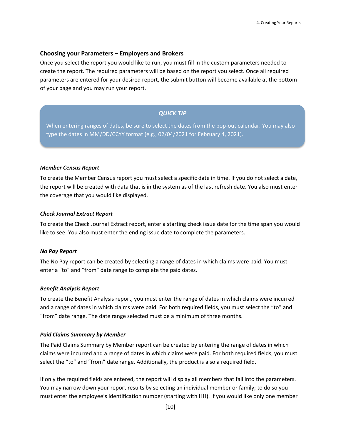#### **Choosing your Parameters – Employers and Brokers**

Once you select the report you would like to run, you must fill in the custom parameters needed to create the report. The required parameters will be based on the report you select. Once all required parameters are entered for your desired report, the submit button will become available at the bottom of your page and you may run your report.

### *QUICK TIP*

When entering ranges of dates, be sure to select the dates from the pop-out calendar. You may also type the dates in MM/DD/CCYY format (e.g., 02/04/2021 for February 4, 2021).

#### <span id="page-12-0"></span>*Member Census Report*

To create the Member Census report you must select a specific date in time. If you do not select a date, the report will be created with data that is in the system as of the last refresh date. You also must enter the coverage that you would like displayed.

#### <span id="page-12-1"></span>*Check Journal Extract Report*

To create the Check Journal Extract report, enter a starting check issue date for the time span you would like to see. You also must enter the ending issue date to complete the parameters.

#### <span id="page-12-2"></span>*No Pay Report*

The No Pay report can be created by selecting a range of dates in which claims were paid. You must enter a "to" and "from" date range to complete the paid dates.

#### <span id="page-12-3"></span>*Benefit Analysis Report*

To create the Benefit Analysis report, you must enter the range of dates in which claims were incurred and a range of dates in which claims were paid. For both required fields, you must select the "to" and "from" date range. The date range selected must be a minimum of three months.

#### <span id="page-12-4"></span>*Paid Claims Summary by Member*

The Paid Claims Summary by Member report can be created by entering the range of dates in which claims were incurred and a range of dates in which claims were paid. For both required fields, you must select the "to" and "from" date range. Additionally, the product is also a required field.

If only the required fields are entered, the report will display all members that fall into the parameters. You may narrow down your report results by selecting an individual member or family; to do so you must enter the employee's identification number (starting with HH). If you would like only one member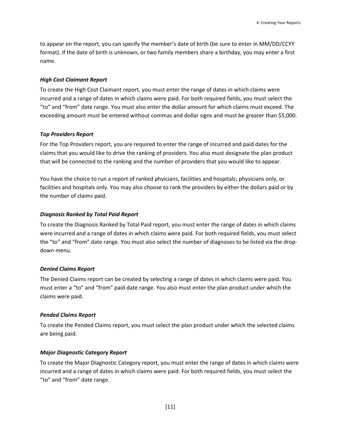to appear on the report, you can specify the member's date of birth (be sure to enter in MM/DD/CCYY format). If the date of birth is unknown, or two family members share a birthday, you may enter a first name.

### <span id="page-13-0"></span>*High Cost Claimant Report*

To create the High Cost Claimant report, you must enter the range of dates in which claims were incurred and a range of dates in which claims were paid. For both required fields, you must select the "to" and "from" date range. You must also enter the dollar amount for which claims must exceed. The exceeding amount must be entered without commas and dollar signs and must be greater than \$5,000.

#### <span id="page-13-1"></span>*Top Providers Report*

For the Top Providers report, you are required to enter the range of incurred and paid dates for the claims that you would like to drive the ranking of providers. You also must designate the plan product that will be connected to the ranking and the number of providers that you would like to appear.

You have the choice to run a report of ranked phyicians, facilities and hospitals; physicians only, or facilities and hospitals only. You may also choose to rank the providers by either the dollars paid or by the number of claims paid.

#### <span id="page-13-2"></span>*Diagnosis Ranked by Total Paid Report*

To create the Diagnosis Ranked by Total Paid report, you must enter the range of dates in which claims were incurred and a range of dates in which claims were paid. For both required fields, you must select the "to" and "from" date range. You must also select the number of diagnoses to be listed via the dropdown menu.

#### <span id="page-13-3"></span>*Denied Claims Report*

The Denied Claims report can be created by selecting a range of dates in which claims were paid. You must enter a "to" and "from" paid date range. You also must enter the plan product under which the claims were paid.

#### <span id="page-13-4"></span>*Pended Claims Report*

To create the Pended Claims report, you must select the plan product under which the selected claims are being paid.

#### <span id="page-13-5"></span>*Major Diagnostic Category Report*

To create the Major Diagnostic Category report, you must enter the range of dates in which claims were incurred and a range of dates in which claims were paid. For both required fields, you must select the "to" and "from" date range.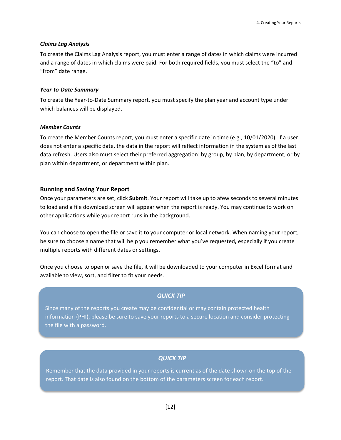#### <span id="page-14-0"></span>*Claims Lag Analysis*

To create the Claims Lag Analysis report, you must enter a range of dates in which claims were incurred and a range of dates in which claims were paid. For both required fields, you must select the "to" and "from" date range.

#### <span id="page-14-1"></span>*Year-to-Date Summary*

To create the Year-to-Date Summary report, you must specify the plan year and account type under which balances will be displayed.

#### <span id="page-14-2"></span>*Member Counts*

To create the Member Counts report, you must enter a specific date in time (e.g., 10/01/2020). If a user does not enter a specific date, the data in the report will reflect information in the system as of the last data refresh. Users also must select their preferred aggregation: by group, by plan, by department, or by plan within department, or department within plan.

#### **Running and Saving Your Report**

Once your parameters are set, click **Submit**. Your report will take up to afew seconds to several minutes to load and a file download screen will appear when the report is ready. You may continue to work on other applications while your report runs in the background.

You can choose to open the file or save it to your computer or local network. When naming your report, be sure to choose a name that will help you remember what you've requested**,** especially if you create multiple reports with different dates or settings.

Once you choose to open or save the file, it will be downloaded to your computer in Excel format and available to view, sort, and filter to fit your needs.

### *QUICK TIP*

Since many of the reports you create may be confidential or may contain protected health information (PHI), please be sure to save your reports to a secure location and consider protecting the file with a password.

#### *QUICK TIP*

Remember that the data provided in your reports is current as of the date shown on the top of the report. That date is also found on the bottom of the parameters screen for each report.

[12]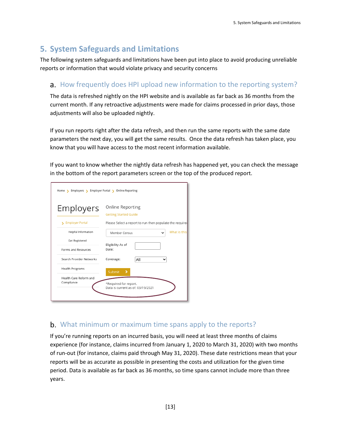# <span id="page-15-0"></span>**5. System Safeguards and Limitations**

The following system safeguards and limitations have been put into place to avoid producing unreliable reports or information that would violate privacy and security concerns

# <span id="page-15-1"></span>a. How frequently does HPI upload new information to the reporting system?

The data is refreshed nightly on the HPI website and is available as far back as 36 months from the current month. If any retroactive adjustments were made for claims processed in prior days, those adjustments will also be uploaded nightly.

If you run reports right after the data refresh, and then run the same reports with the same date parameters the next day, you will get the same results. Once the data refresh has taken place, you know that you will have access to the most recent information available.

If you want to know whether the nightly data refresh has happened yet, you can check the message in the bottom of the report parameters screen or the top of the produced report.

| Online Reporting<br>Employers<br><b>Getting Started Guide</b><br>> Employer Portal<br>Helpful Information<br>Member Census<br>Get Registered<br>Eligibility As of<br>Date:<br>Forms and Resources<br>Search Provider Networks<br>Coverage:<br>All<br>v<br><b>Health Programs</b><br>Submit<br>Health Care Reform and<br>Compliance<br>*Required for report. | Home > Employers > Employer Portal > Online Reporting |                                                          |
|-------------------------------------------------------------------------------------------------------------------------------------------------------------------------------------------------------------------------------------------------------------------------------------------------------------------------------------------------------------|-------------------------------------------------------|----------------------------------------------------------|
|                                                                                                                                                                                                                                                                                                                                                             |                                                       |                                                          |
|                                                                                                                                                                                                                                                                                                                                                             |                                                       | Please Select a report to run then populate the required |
|                                                                                                                                                                                                                                                                                                                                                             |                                                       | What is this                                             |
|                                                                                                                                                                                                                                                                                                                                                             |                                                       |                                                          |
|                                                                                                                                                                                                                                                                                                                                                             |                                                       |                                                          |
|                                                                                                                                                                                                                                                                                                                                                             |                                                       |                                                          |
|                                                                                                                                                                                                                                                                                                                                                             |                                                       |                                                          |
|                                                                                                                                                                                                                                                                                                                                                             |                                                       | Data is current as of: 03/19/2021                        |

# <span id="page-15-2"></span>b. What minimum or maximum time spans apply to the reports?

If you're running reports on an incurred basis, you will need at least three months of claims experience (for instance, claims incurred from January 1, 2020 to March 31, 2020) with two months of run-out (for instance, claims paid through May 31, 2020). These date restrictions mean that your reports will be as accurate as possible in presenting the costs and utilization for the given time period. Data is available as far back as 36 months, so time spans cannot include more than three years.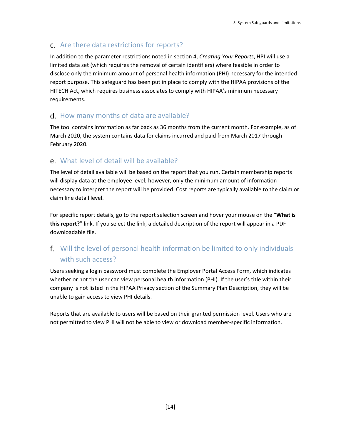# <span id="page-16-0"></span>c. Are there data restrictions for reports?

In addition to the parameter restrictions noted in section 4, *Creating Your Reports*, HPI will use a limited data set (which requires the removal of certain identifiers) where feasible in order to disclose only the minimum amount of personal health information (PHI) necessary for the intended report purpose. This safeguard has been put in place to comply with the HIPAA provisions of the HITECH Act, which requires business associates to comply with HIPAA's minimum necessary requirements.

# <span id="page-16-1"></span>d. How many months of data are available?

The tool contains information as far back as 36 months from the current month. For example, as of March 2020, the system contains data for claims incurred and paid from March 2017 through February 2020.

# <span id="page-16-2"></span>What level of detail will be available?

The level of detail available will be based on the report that you run. Certain membership reports will display data at the employee level; however, only the minimum amount of information necessary to interpret the report will be provided. Cost reports are typically available to the claim or claim line detail level.

For specific report details, go to the report selection screen and hover your mouse on the "**What is this report?**" link. If you select the link, a detailed description of the report will appear in a PDF downloadable file.

# <span id="page-16-3"></span>Will the level of personal health information be limited to only individuals with such access?

Users seeking a login password must complete the Employer Portal Access Form, which indicates whether or not the user can view personal health information (PHI). If the user's title within their company is not listed in the HIPAA Privacy section of the Summary Plan Description, they will be unable to gain access to view PHI details.

Reports that are available to users will be based on their granted permission level. Users who are not permitted to view PHI will not be able to view or download member-specific information.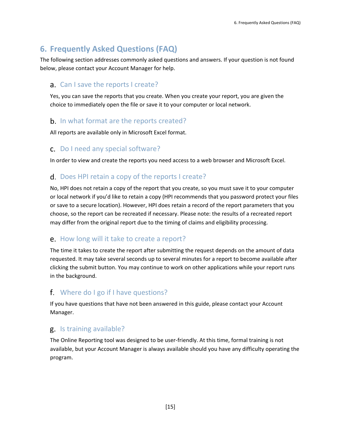# <span id="page-17-0"></span>**6. Frequently Asked Questions (FAQ)**

The following section addresses commonly asked questions and answers. If your question is not found below, please contact your Account Manager for help.

# <span id="page-17-1"></span>a. Can I save the reports I create?

Yes, you can save the reports that you create. When you create your report, you are given the choice to immediately open the file or save it to your computer or local network.

# <span id="page-17-2"></span>**b.** In what format are the reports created?

All reports are available only in Microsoft Excel format.

# <span id="page-17-3"></span>c. Do I need any special software?

In order to view and create the reports you need access to a web browser and Microsoft Excel.

# <span id="page-17-4"></span>d. Does HPI retain a copy of the reports I create?

No, HPI does not retain a copy of the report that you create, so you must save it to your computer or local network if you'd like to retain a copy (HPI recommends that you password protect your files or save to a secure location). However, HPI does retain a record of the report parameters that you choose, so the report can be recreated if necessary. Please note: the results of a recreated report may differ from the original report due to the timing of claims and eligibility processing.

# <span id="page-17-5"></span>e. How long will it take to create a report?

The time it takes to create the report after submitting the request depends on the amount of data requested. It may take several seconds up to several minutes for a report to become available after clicking the submit button. You may continue to work on other applications while your report runs in the background.

# <span id="page-17-6"></span>Where do I go if I have questions?

If you have questions that have not been answered in this guide, please contact your Account Manager.

# <span id="page-17-7"></span>g. Is training available?

The Online Reporting tool was designed to be user-friendly. At this time, formal training is not available, but your Account Manager is always available should you have any difficulty operating the program.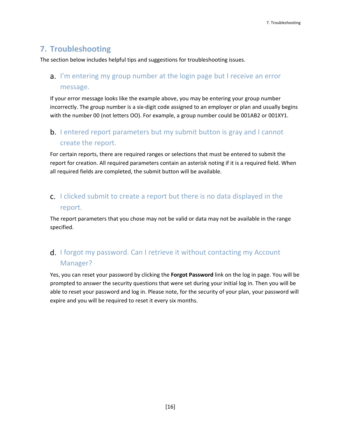# <span id="page-18-0"></span>**7. Troubleshooting**

<span id="page-18-1"></span>The section below includes helpful tips and suggestions for troubleshooting issues.

# a. I'm entering my group number at the login page but I receive an error message.

If your error message looks like the example above, you may be entering your group number incorrectly. The group number is a six-digit code assigned to an employer or plan and usually begins with the number 00 (not letters OO). For example, a group number could be 001AB2 or 001XY1.

# <span id="page-18-2"></span>**b.** I entered report parameters but my submit button is gray and I cannot create the report.

For certain reports, there are required ranges or selections that must be entered to submit the report for creation. All required parameters contain an asterisk noting if it is a required field. When all required fields are completed, the submit button will be available.

# <span id="page-18-3"></span>c. I clicked submit to create a report but there is no data displayed in the report.

The report parameters that you chose may not be valid or data may not be available in the range specified.

# <span id="page-18-4"></span>d. I forgot my password. Can I retrieve it without contacting my Account Manager?

Yes, you can reset your password by clicking the **Forgot Password** link on the log in page. You will be prompted to answer the security questions that were set during your initial log in. Then you will be able to reset your password and log in. Please note, for the security of your plan, your password will expire and you will be required to reset it every six months.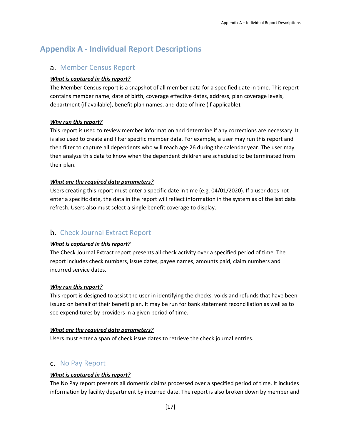# <span id="page-19-1"></span><span id="page-19-0"></span>**Appendix A - Individual Report Descriptions**

# a. Member Census Report

# *What is captured in this report?*

The Member Census report is a snapshot of all member data for a specified date in time. This report contains member name, date of birth, coverage effective dates, address, plan coverage levels, department (if available), benefit plan names, and date of hire (if applicable).

# *Why run this report?*

This report is used to review member information and determine if any corrections are necessary. It is also used to create and filter specific member data. For example, a user may run this report and then filter to capture all dependents who will reach age 26 during the calendar year. The user may then analyze this data to know when the dependent children are scheduled to be terminated from their plan.

### *What are the required data parameters?*

Users creating this report must enter a specific date in time (e.g. 04/01/2020). If a user does not enter a specific date, the data in the report will reflect information in the system as of the last data refresh. Users also must select a single benefit coverage to display.

# <span id="page-19-2"></span>**b.** Check Journal Extract Report

# *What is captured in this report?*

The Check Journal Extract report presents all check activity over a specified period of time. The report includes check numbers, issue dates, payee names, amounts paid, claim numbers and incurred service dates.

### *Why run this report?*

This report is designed to assist the user in identifying the checks, voids and refunds that have been issued on behalf of their benefit plan. It may be run for bank statement reconciliation as well as to see expenditures by providers in a given period of time.

### *What are the required data parameters?*

Users must enter a span of check issue dates to retrieve the check journal entries.

# <span id="page-19-3"></span>c. No Pay Report

# *What is captured in this report?*

The No Pay report presents all domestic claims processed over a specified period of time. It includes information by facility department by incurred date. The report is also broken down by member and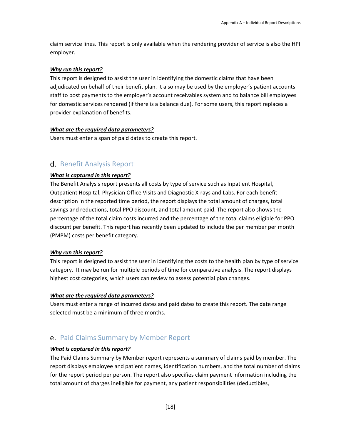claim service lines. This report is only available when the rendering provider of service is also the HPI employer.

### *Why run this report?*

This report is designed to assist the user in identifying the domestic claims that have been adjudicated on behalf of their benefit plan. It also may be used by the employer's patient accounts staff to post payments to the employer's account receivables system and to balance bill employees for domestic services rendered (if there is a balance due). For some users, this report replaces a provider explanation of benefits.

### *What are the required data parameters?*

Users must enter a span of paid dates to create this report.

# <span id="page-20-0"></span>d. Benefit Analysis Report

# *What is captured in this report?*

The Benefit Analysis report presents all costs by type of service such as Inpatient Hospital, Outpatient Hospital, Physician Office Visits and Diagnostic X-rays and Labs. For each benefit description in the reported time period, the report displays the total amount of charges, total savings and reductions, total PPO discount, and total amount paid. The report also shows the percentage of the total claim costs incurred and the percentage of the total claims eligible for PPO discount per benefit. This report has recently been updated to include the per member per month (PMPM) costs per benefit category.

# *Why run this report?*

This report is designed to assist the user in identifying the costs to the health plan by type of service category. It may be run for multiple periods of time for comparative analysis. The report displays highest cost categories, which users can review to assess potential plan changes.

### *What are the required data parameters?*

Users must enter a range of incurred dates and paid dates to create this report. The date range selected must be a minimum of three months.

# <span id="page-20-1"></span>e. Paid Claims Summary by Member Report

### *What is captured in this report?*

The Paid Claims Summary by Member report represents a summary of claims paid by member. The report displays employee and patient names, identification numbers, and the total number of claims for the report period per person. The report also specifies claim payment information including the total amount of charges ineligible for payment, any patient responsibilities (deductibles,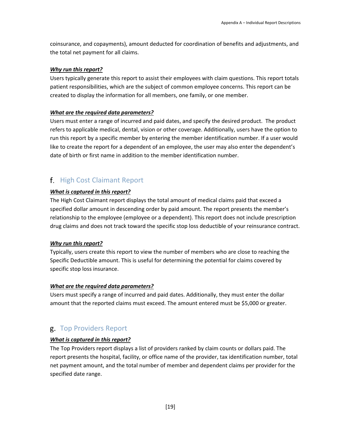coinsurance, and copayments), amount deducted for coordination of benefits and adjustments, and the total net payment for all claims.

### *Why run this report?*

Users typically generate this report to assist their employees with claim questions. This report totals patient responsibilities, which are the subject of common employee concerns. This report can be created to display the information for all members, one family, or one member.

### *What are the required data parameters?*

Users must enter a range of incurred and paid dates, and specify the desired product. The product refers to applicable medical, dental, vision or other coverage. Additionally, users have the option to run this report by a specific member by entering the member identification number. If a user would like to create the report for a dependent of an employee, the user may also enter the dependent's date of birth or first name in addition to the member identification number.

# <span id="page-21-0"></span>f. High Cost Claimant Report

### *What is captured in this report?*

The High Cost Claimant report displays the total amount of medical claims paid that exceed a specified dollar amount in descending order by paid amount. The report presents the member's relationship to the employee (employee or a dependent). This report does not include prescription drug claims and does not track toward the specific stop loss deductible of your reinsurance contract.

#### *Why run this report?*

Typically, users create this report to view the number of members who are close to reaching the Specific Deductible amount. This is useful for determining the potential for claims covered by specific stop loss insurance.

#### *What are the required data parameters?*

Users must specify a range of incurred and paid dates. Additionally, they must enter the dollar amount that the reported claims must exceed. The amount entered must be \$5,000 or greater.

# <span id="page-21-1"></span>g. Top Providers Report

### *What is captured in this report?*

The Top Providers report displays a list of providers ranked by claim counts or dollars paid. The report presents the hospital, facility, or office name of the provider, tax identification number, total net payment amount, and the total number of member and dependent claims per provider for the specified date range.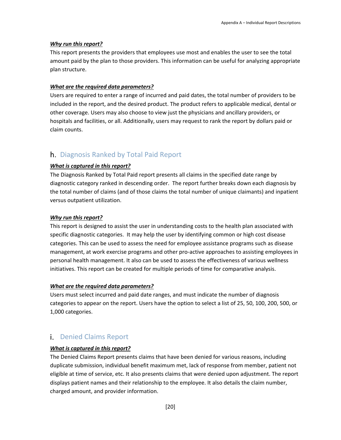#### *Why run this report?*

This report presents the providers that employees use most and enables the user to see the total amount paid by the plan to those providers. This information can be useful for analyzing appropriate plan structure.

### *What are the required data parameters?*

Users are required to enter a range of incurred and paid dates, the total number of providers to be included in the report, and the desired product. The product refers to applicable medical, dental or other coverage. Users may also choose to view just the physicians and ancillary providers, or hospitals and facilities, or all. Additionally, users may request to rank the report by dollars paid or claim counts.

# <span id="page-22-0"></span>h. Diagnosis Ranked by Total Paid Report

#### *What is captured in this report?*

The Diagnosis Ranked by Total Paid report presents all claims in the specified date range by diagnostic category ranked in descending order. The report further breaks down each diagnosis by the total number of claims (and of those claims the total number of unique claimants) and inpatient versus outpatient utilization.

#### *Why run this report?*

This report is designed to assist the user in understanding costs to the health plan associated with specific diagnostic categories. It may help the user by identifying common or high cost disease categories. This can be used to assess the need for employee assistance programs such as disease management, at work exercise programs and other pro-active approaches to assisting employees in personal health management. It also can be used to assess the effectiveness of various wellness initiatives. This report can be created for multiple periods of time for comparative analysis.

#### *What are the required data parameters?*

Users must select incurred and paid date ranges, and must indicate the number of diagnosis categories to appear on the report. Users have the option to select a list of 25, 50, 100, 200, 500, or 1,000 categories.

# <span id="page-22-1"></span>**i.** Denied Claims Report

#### *What is captured in this report?*

The Denied Claims Report presents claims that have been denied for various reasons, including duplicate submission, individual benefit maximum met, lack of response from member, patient not eligible at time of service, etc. It also presents claims that were denied upon adjustment. The report displays patient names and their relationship to the employee. It also details the claim number, charged amount, and provider information.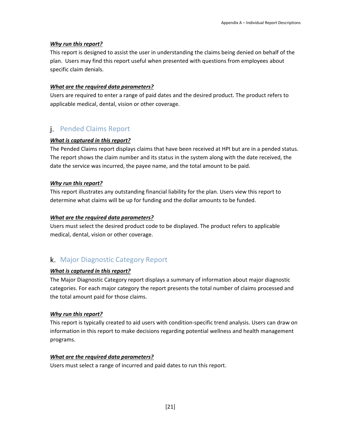### *Why run this report?*

This report is designed to assist the user in understanding the claims being denied on behalf of the plan. Users may find this report useful when presented with questions from employees about specific claim denials.

### *What are the required data parameters?*

Users are required to enter a range of paid dates and the desired product. The product refers to applicable medical, dental, vision or other coverage.

# <span id="page-23-0"></span>Pended Claims Report

#### *What is captured in this report?*

The Pended Claims report displays claims that have been received at HPI but are in a pended status. The report shows the claim number and its status in the system along with the date received, the date the service was incurred, the payee name, and the total amount to be paid.

### *Why run this report?*

This report illustrates any outstanding financial liability for the plan. Users view this report to determine what claims will be up for funding and the dollar amounts to be funded.

#### *What are the required data parameters?*

Users must select the desired product code to be displayed. The product refers to applicable medical, dental, vision or other coverage.

# <span id="page-23-1"></span>k. Major Diagnostic Category Report

### *What is captured in this report?*

The Major Diagnostic Category report displays a summary of information about major diagnostic categories. For each major category the report presents the total number of claims processed and the total amount paid for those claims.

### *Why run this report?*

This report is typically created to aid users with condition-specific trend analysis. Users can draw on information in this report to make decisions regarding potential wellness and health management programs.

#### *What are the required data parameters?*

Users must select a range of incurred and paid dates to run this report.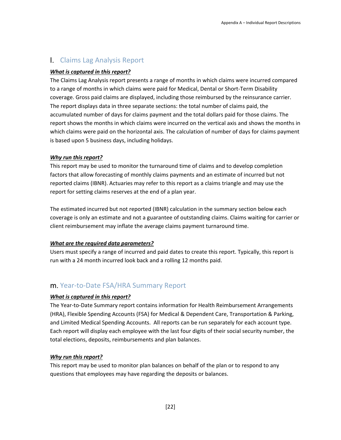# <span id="page-24-0"></span>Claims Lag Analysis Report

### *What is captured in this report?*

The Claims Lag Analysis report presents a range of months in which claims were incurred compared to a range of months in which claims were paid for Medical, Dental or Short-Term Disability coverage. Gross paid claims are displayed, including those reimbursed by the reinsurance carrier. The report displays data in three separate sections: the total number of claims paid, the accumulated number of days for claims payment and the total dollars paid for those claims. The report shows the months in which claims were incurred on the vertical axis and shows the months in which claims were paid on the horizontal axis. The calculation of number of days for claims payment is based upon 5 business days, including holidays.

### *Why run this report?*

This report may be used to monitor the turnaround time of claims and to develop completion factors that allow forecasting of monthly claims payments and an estimate of incurred but not reported claims (IBNR). Actuaries may refer to this report as a claims triangle and may use the report for setting claims reserves at the end of a plan year.

The estimated incurred but not reported (IBNR) calculation in the summary section below each coverage is only an estimate and not a guarantee of outstanding claims. Claims waiting for carrier or client reimbursement may inflate the average claims payment turnaround time.

# *What are the required data parameters?*

Users must specify a range of incurred and paid dates to create this report. Typically, this report is run with a 24 month incurred look back and a rolling 12 months paid.

# <span id="page-24-1"></span>m. Year-to-Date FSA/HRA Summary Report

# *What is captured in this report?*

The Year-to-Date Summary report contains information for Health Reimbursement Arrangements (HRA), Flexible Spending Accounts (FSA) for Medical & Dependent Care, Transportation & Parking, and Limited Medical Spending Accounts. All reports can be run separately for each account type. Each report will display each employee with the last four digits of their social security number, the total elections, deposits, reimbursements and plan balances.

### *Why run this report?*

This report may be used to monitor plan balances on behalf of the plan or to respond to any questions that employees may have regarding the deposits or balances.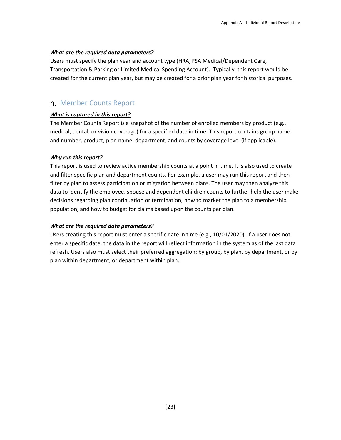### *What are the required data parameters?*

Users must specify the plan year and account type (HRA, FSA Medical/Dependent Care, Transportation & Parking or Limited Medical Spending Account). Typically, this report would be created for the current plan year, but may be created for a prior plan year for historical purposes.

# <span id="page-25-0"></span>n. Member Counts Report

### *What is captured in this report?*

The Member Counts Report is a snapshot of the number of enrolled members by product (e.g., medical, dental, or vision coverage) for a specified date in time. This report contains group name and number, product, plan name, department, and counts by coverage level (if applicable).

### *Why run this report?*

This report is used to review active membership counts at a point in time. It is also used to create and filter specific plan and department counts. For example, a user may run this report and then filter by plan to assess participation or migration between plans. The user may then analyze this data to identify the employee, spouse and dependent children counts to further help the user make decisions regarding plan continuation or termination, how to market the plan to a membership population, and how to budget for claims based upon the counts per plan.

# *What are the required data parameters?*

Users creating this report must enter a specific date in time (e.g., 10/01/2020). If a user does not enter a specific date, the data in the report will reflect information in the system as of the last data refresh. Users also must select their preferred aggregation: by group, by plan, by department, or by plan within department, or department within plan.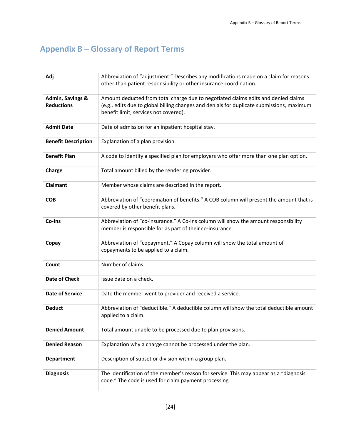# <span id="page-26-0"></span>**Appendix B – Glossary of Report Terms**

| Adj                                              | Abbreviation of "adjustment." Describes any modifications made on a claim for reasons<br>other than patient responsibility or other insurance coordination.                                                              |
|--------------------------------------------------|--------------------------------------------------------------------------------------------------------------------------------------------------------------------------------------------------------------------------|
| <b>Admin, Savings &amp;</b><br><b>Reductions</b> | Amount deducted from total charge due to negotiated claims edits and denied claims<br>(e.g., edits due to global billing changes and denials for duplicate submissions, maximum<br>benefit limit, services not covered). |
| <b>Admit Date</b>                                | Date of admission for an inpatient hospital stay.                                                                                                                                                                        |
| <b>Benefit Description</b>                       | Explanation of a plan provision.                                                                                                                                                                                         |
| <b>Benefit Plan</b>                              | A code to identify a specified plan for employers who offer more than one plan option.                                                                                                                                   |
| Charge                                           | Total amount billed by the rendering provider.                                                                                                                                                                           |
| <b>Claimant</b>                                  | Member whose claims are described in the report.                                                                                                                                                                         |
| <b>COB</b>                                       | Abbreviation of "coordination of benefits." A COB column will present the amount that is<br>covered by other benefit plans.                                                                                              |
| Co-Ins                                           | Abbreviation of "co-insurance." A Co-Ins column will show the amount responsibility<br>member is responsible for as part of their co-insurance.                                                                          |
| Copay                                            | Abbreviation of "copayment." A Copay column will show the total amount of<br>copayments to be applied to a claim.                                                                                                        |
| Count                                            | Number of claims.                                                                                                                                                                                                        |
| <b>Date of Check</b>                             | Issue date on a check.                                                                                                                                                                                                   |
| <b>Date of Service</b>                           | Date the member went to provider and received a service.                                                                                                                                                                 |
| <b>Deduct</b>                                    | Abbreviation of "deductible." A deductible column will show the total deductible amount<br>applied to a claim.                                                                                                           |
| <b>Denied Amount</b>                             | Total amount unable to be processed due to plan provisions.                                                                                                                                                              |
| <b>Denied Reason</b>                             | Explanation why a charge cannot be processed under the plan.                                                                                                                                                             |
| <b>Department</b>                                | Description of subset or division within a group plan.                                                                                                                                                                   |
| <b>Diagnosis</b>                                 | The identification of the member's reason for service. This may appear as a "diagnosis"<br>code." The code is used for claim payment processing.                                                                         |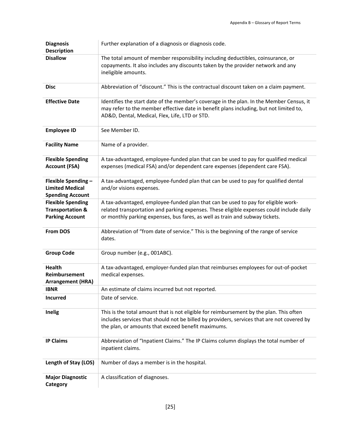| <b>Diagnosis</b><br><b>Description</b>                                            | Further explanation of a diagnosis or diagnosis code.                                                                                                                                                                                                         |
|-----------------------------------------------------------------------------------|---------------------------------------------------------------------------------------------------------------------------------------------------------------------------------------------------------------------------------------------------------------|
| <b>Disallow</b>                                                                   | The total amount of member responsibility including deductibles, coinsurance, or<br>copayments. It also includes any discounts taken by the provider network and any<br>ineligible amounts.                                                                   |
| <b>Disc</b>                                                                       | Abbreviation of "discount." This is the contractual discount taken on a claim payment.                                                                                                                                                                        |
| <b>Effective Date</b>                                                             | Identifies the start date of the member's coverage in the plan. In the Member Census, it<br>may refer to the member effective date in benefit plans including, but not limited to,<br>AD&D, Dental, Medical, Flex, Life, LTD or STD.                          |
| <b>Employee ID</b>                                                                | See Member ID.                                                                                                                                                                                                                                                |
| <b>Facility Name</b>                                                              | Name of a provider.                                                                                                                                                                                                                                           |
| <b>Flexible Spending</b><br><b>Account (FSA)</b>                                  | A tax-advantaged, employee-funded plan that can be used to pay for qualified medical<br>expenses (medical FSA) and/or dependent care expenses (dependent care FSA).                                                                                           |
| Flexible Spending -<br><b>Limited Medical</b><br><b>Spending Account</b>          | A tax-advantaged, employee-funded plan that can be used to pay for qualified dental<br>and/or visions expenses.                                                                                                                                               |
| <b>Flexible Spending</b><br><b>Transportation &amp;</b><br><b>Parking Account</b> | A tax-advantaged, employee-funded plan that can be used to pay for eligible work-<br>related transportation and parking expenses. These eligible expenses could include daily<br>or monthly parking expenses, bus fares, as well as train and subway tickets. |
| <b>From DOS</b>                                                                   | Abbreviation of "from date of service." This is the beginning of the range of service<br>dates.                                                                                                                                                               |
| <b>Group Code</b>                                                                 | Group number (e.g., 001ABC).                                                                                                                                                                                                                                  |
| Health<br>Reimbursement<br><b>Arrangement (HRA)</b>                               | A tax-advantaged, employer-funded plan that reimburses employees for out-of-pocket<br>medical expenses.                                                                                                                                                       |
| <b>IBNR</b>                                                                       | An estimate of claims incurred but not reported.                                                                                                                                                                                                              |
| <b>Incurred</b>                                                                   | Date of service.                                                                                                                                                                                                                                              |
| <b>Inelig</b>                                                                     | This is the total amount that is not eligible for reimbursement by the plan. This often<br>includes services that should not be billed by providers, services that are not covered by<br>the plan, or amounts that exceed benefit maximums.                   |
| <b>IP Claims</b>                                                                  | Abbreviation of "Inpatient Claims." The IP Claims column displays the total number of<br>inpatient claims.                                                                                                                                                    |
| Length of Stay (LOS)                                                              | Number of days a member is in the hospital.                                                                                                                                                                                                                   |
| <b>Major Diagnostic</b><br>Category                                               | A classification of diagnoses.                                                                                                                                                                                                                                |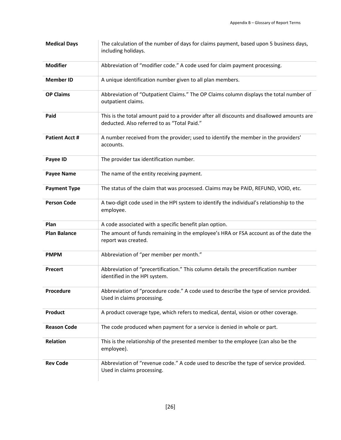| <b>Medical Days</b>  | The calculation of the number of days for claims payment, based upon 5 business days,<br>including holidays.                              |
|----------------------|-------------------------------------------------------------------------------------------------------------------------------------------|
| <b>Modifier</b>      | Abbreviation of "modifier code." A code used for claim payment processing.                                                                |
| <b>Member ID</b>     | A unique identification number given to all plan members.                                                                                 |
| <b>OP Claims</b>     | Abbreviation of "Outpatient Claims." The OP Claims column displays the total number of<br>outpatient claims.                              |
| Paid                 | This is the total amount paid to a provider after all discounts and disallowed amounts are<br>deducted. Also referred to as "Total Paid." |
| <b>Patient Acct#</b> | A number received from the provider; used to identify the member in the providers'<br>accounts.                                           |
| Payee ID             | The provider tax identification number.                                                                                                   |
| <b>Payee Name</b>    | The name of the entity receiving payment.                                                                                                 |
| <b>Payment Type</b>  | The status of the claim that was processed. Claims may be PAID, REFUND, VOID, etc.                                                        |
| <b>Person Code</b>   | A two-digit code used in the HPI system to identify the individual's relationship to the<br>employee.                                     |
| Plan                 | A code associated with a specific benefit plan option.                                                                                    |
| <b>Plan Balance</b>  | The amount of funds remaining in the employee's HRA or FSA account as of the date the<br>report was created.                              |
| <b>PMPM</b>          | Abbreviation of "per member per month."                                                                                                   |
| <b>Precert</b>       | Abbreviation of "precertification." This column details the precertification number<br>identified in the HPI system.                      |
| Procedure            | Abbreviation of "procedure code." A code used to describe the type of service provided.<br>Used in claims processing.                     |
| <b>Product</b>       | A product coverage type, which refers to medical, dental, vision or other coverage.                                                       |
| <b>Reason Code</b>   | The code produced when payment for a service is denied in whole or part.                                                                  |
| <b>Relation</b>      | This is the relationship of the presented member to the employee (can also be the<br>employee).                                           |
| <b>Rev Code</b>      | Abbreviation of "revenue code." A code used to describe the type of service provided.<br>Used in claims processing.                       |